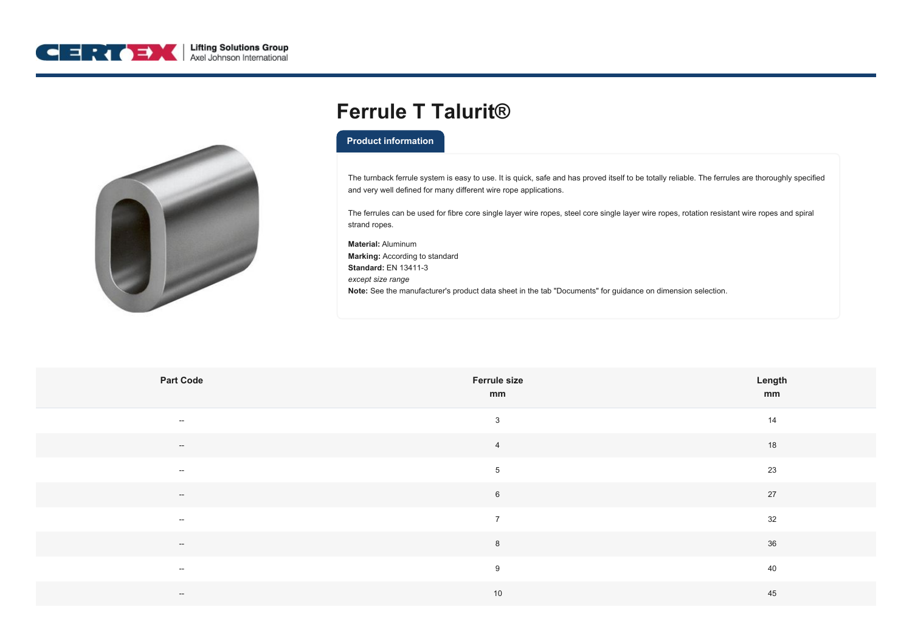



## **Ferrule T Talurit®**

## **Product information**

The turnback ferrule system is easy to use. It is quick, safe and has proved itself to be totally reliable. The ferrules are thoroughly specified and very well defined for many different wire rope applications.

The ferrules can be used for fibre core single layer wire ropes, steel core single layer wire ropes, rotation resistant wire ropes and spiral strand ropes.

**Material:** Aluminum **Marking:** According to standard **Standard:** EN 13411-3 *except size range* **Note:** See the manufacturer's product data sheet in the tab "Documents" for guidance on dimension selection.

| <b>Part Code</b>                               | <b>Ferrule size</b><br>mm | Length<br>mm |
|------------------------------------------------|---------------------------|--------------|
| $ -$                                           | $\mathbf{3}$              | 14           |
| $\sim$                                         | $\overline{4}$            | 18           |
| $\sim$                                         | $5\phantom{.0}$           | 23           |
| $\sim$                                         | $6\phantom{.}$            | 27           |
| $ -$                                           | $\overline{7}$            | 32           |
| $\hspace{0.1mm}-\hspace{0.1mm}-\hspace{0.1mm}$ | $\,8\,$                   | 36           |
| $\sim$                                         | 9                         | 40           |
| $ -$                                           | 10                        | 45           |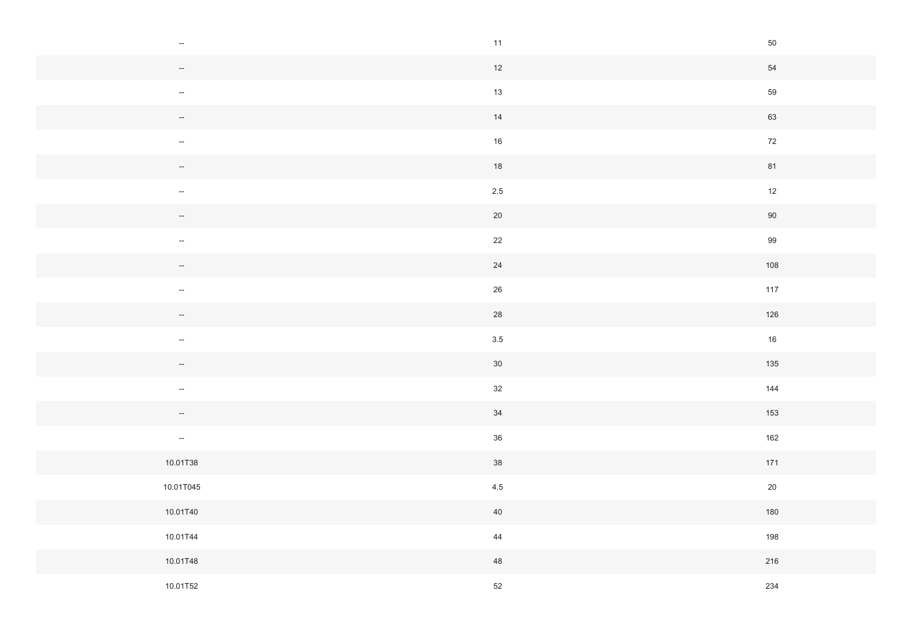| $\overline{\phantom{a}}$ | 11      | $50\,$ |
|--------------------------|---------|--------|
|                          | 12      | 54     |
| $\overline{\phantom{a}}$ | $13$    | 59     |
| $\overline{\phantom{a}}$ | 14      | 63     |
| $\sim$                   | $16\,$  | $72\,$ |
| $\overline{\phantom{a}}$ | 18      | 81     |
| $\overline{\phantom{a}}$ | $2.5\,$ | 12     |
|                          | $20\,$  | 90     |
| $\sim$                   | 22      | 99     |
| $\overline{\phantom{a}}$ | $24\,$  | 108    |
| $\sim$                   | $26\,$  | 117    |
| $\overline{\phantom{a}}$ | 28      | 126    |
| $\overline{\phantom{a}}$ | $3.5\,$ | $16\,$ |
| $\overline{\phantom{a}}$ | 30      | 135    |
| $\sim$                   | 32      | 144    |
| $\overline{\phantom{a}}$ | 34      | 153    |
| $\sim$                   | $36\,$  | 162    |
| 10.01T38                 | 38      | 171    |
| 10.01T045                | $4.5\,$ | $20\,$ |
| 10.01T40                 | $40\,$  | 180    |
| 10.01T44                 | 44      | 198    |
| 10.01T48                 | 48      | 216    |
| 10.01T52                 | $52\,$  | 234    |